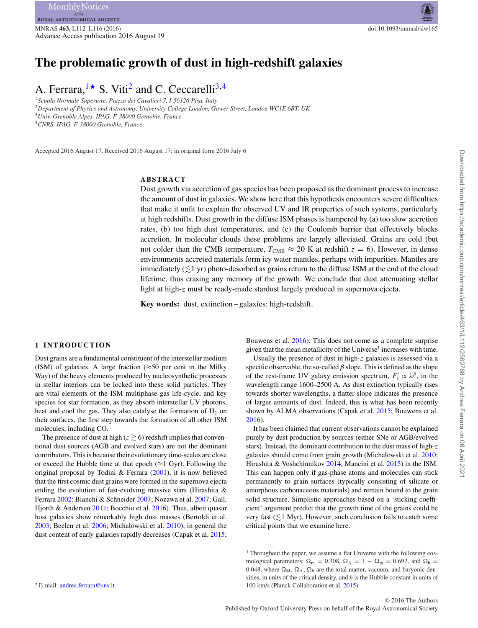# **The problematic growth of dust in high-redshift galaxies**

# A. Ferrara,  $1\star$  $1\star$  S. Viti<sup>2</sup> and C. Ceccarelli<sup>3,[4](#page-0-4)</sup>

<span id="page-0-2"></span><span id="page-0-0"></span><sup>1</sup>*Scuola Normale Superiore, Piazza dei Cavalieri 7, I-56126 Pisa, Italy* <sup>2</sup>*Department of Physics and Astronomy, University College London, Gower Street, London WC1E 6BT, UK* <sup>3</sup>*Univ. Grenoble Alpes, IPAG, F-38000 Grenoble, France*

<span id="page-0-4"></span><span id="page-0-3"></span><sup>4</sup>*CNRS, IPAG, F-38000 Grenoble, France*

Accepted 2016 August 17. Received 2016 August 17; in original form 2016 July 6

### **ABSTRACT**

Dust growth via accretion of gas species has been proposed as the dominant process to increase the amount of dust in galaxies. We show here that this hypothesis encounters severe difficulties that make it unfit to explain the observed UV and IR properties of such systems, particularly at high redshifts. Dust growth in the diffuse ISM phases is hampered by (a) too slow accretion rates, (b) too high dust temperatures, and (c) the Coulomb barrier that effectively blocks accretion. In molecular clouds these problems are largely alleviated. Grains are cold (but not colder than the CMB temperature,  $T_{\text{CMB}} \approx 20$  K at redshift  $z = 6$ ). However, in dense environments accreted materials form icy water mantles, perhaps with impurities. Mantles are immediately  $(\lesssim\!\!1$  yr) photo-desorbed as grains return to the diffuse ISM at the end of the cloud lifetime, thus erasing any memory of the growth. We conclude that dust attenuating stellar light at high-z must be ready-made stardust largely produced in supernova ejecta.

**Key words:** dust, extinction – galaxies: high-redshift.

### **1 INTRODUCTION**

Dust grains are a fundamental constituent of the interstellar medium (ISM) of galaxies. A large fraction ( $\approx$ 50 per cent in the Milky Way) of the heavy elements produced by nucleosynthetic processes in stellar interiors can be locked into these solid particles. They are vital elements of the ISM multiphase gas life-cycle, and key species for star formation, as they absorb interstellar UV photons, heat and cool the gas. They also catalyse the formation of  $H_2$  on their surfaces, the first step towards the formation of all other ISM molecules, including CO.

<span id="page-0-1"></span>The presence of dust at high ( $z \ge 6$ ) redshift implies that conventional dust sources (AGB and evolved stars) are not the dominant contributors. This is because their evolutionary time-scales are close or exceed the Hubble time at that epoch ( $\approx$ 1 Gyr). Following the original proposal by Todini & Ferrara [\(2001\)](#page-4-0), it is now believed that the first cosmic dust grains were formed in the supernova ejecta ending the evolution of fast-evolving massive stars (Hirashita & Ferrara [2002;](#page-4-1) Bianchi & Schneider [2007;](#page-4-2) Nozawa et al. [2007;](#page-4-3) Gall, Hjorth & Andersen [2011;](#page-4-4) Bocchio et al. [2016\)](#page-4-5). Thus, albeit quasar host galaxies show remarkably high dust masses (Bertoldi et al. [2003;](#page-4-6) Beelen et al. [2006;](#page-4-7) Michałowski et al. [2010\)](#page-4-8), in general the dust content of early galaxies rapidly decreases (Capak et al. [2015;](#page-4-9)

Bouwens et al. [2016\)](#page-4-10). This does not come as a complete surprise given that the mean metallicity of the Universe<sup>1</sup> increases with time.

Usually the presence of dust in high-z galaxies is assessed via a specific observable, the so-called  $\beta$  slope. This is defined as the slope of the rest-frame UV galaxy emission spectrum,  $F^i_\lambda \propto \lambda^\beta$ , in the wavelength range 1600–2500 A. As dust extinction typically rises towards shorter wavelengths, a flatter slope indicates the presence of larger amounts of dust. Indeed, this is what has been recently shown by ALMA observations (Capak et al. [2015;](#page-4-9) Bouwens et al. [2016\)](#page-4-10).

It has been claimed that current observations cannot be explained purely by dust production by sources (either SNe or AGB/evolved stars). Instead, the dominant contribution to the dust mass of high-z galaxies should come from grain growth (Michałowski et al. [2010;](#page-4-8) Hirashita & Voshchinnikov [2014;](#page-4-11) Mancini et al. [2015\)](#page-4-12) in the ISM. This can happen only if gas-phase atoms and molecules can stick permanently to grain surfaces (typically consisting of silicate or amorphous carbonaceous materials) and remain bound to the grain solid structure. Simplistic approaches based on a 'sticking coefficient' argument predict that the growth time of the grains could be very fast  $(\leq 1$  Myr). However, such conclusion fails to catch some critical points that we examine here.

<sup>1</sup> Throughout the paper, we assume a flat Universe with the following cosmological parameters:  $\Omega_m = 0.308$ ,  $\Omega_{\Lambda} = 1 - \Omega_m = 0.692$ , and  $\Omega_b =$ 0.048, where  $\Omega_M$ ,  $\Omega_{\Lambda}$ ,  $\Omega_{\rm b}$  are the total matter, vacuum, and baryonic densities, in units of the critical density, and *h* is the Hubble constant in units of 100 km/s (Planck Collaboration et al. [2015\)](#page-4-13).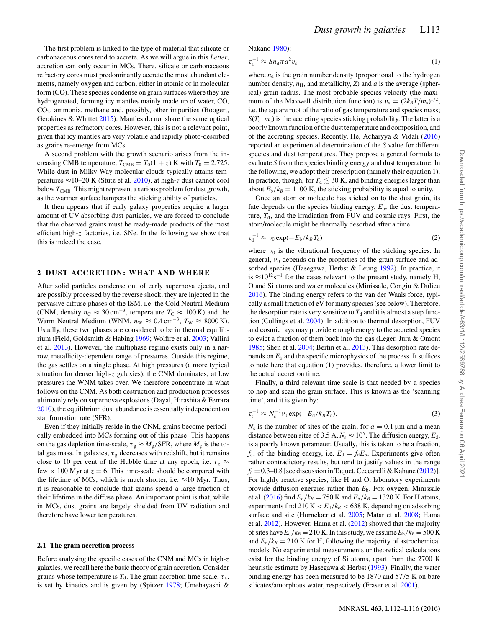The first problem is linked to the type of material that silicate or carbonaceous cores tend to accrete. As we will argue in this *Letter*, accretion can only occur in MCs. There, silicate or carbonaceous refractory cores must predominantly accrete the most abundant elements, namely oxygen and carbon, either in atomic or in molecular form (CO). These species condense on grain surfaces where they are hydrogenated, forming icy mantles mainly made up of water, CO, CO2, ammonia, methane and, possibly, other impurities (Boogert, Gerakines & Whittet [2015\)](#page-4-14). Mantles do not share the same optical properties as refractory cores. However, this is not a relevant point, given that icy mantles are very volatile and rapidly photo-desorbed as grains re-emerge from MCs.

A second problem with the growth scenario arises from the increasing CMB temperature,  $T_{\text{CMB}} = T_0(1 + z)$  K with  $T_0 = 2.725$ . While dust in Milky Way molecular clouds typically attains temperatures ≈10–20 K (Stutz et al. [2010\)](#page-4-15), at high-z dust cannot cool below  $T_{\text{CMB}}$ . This might represent a serious problem for dust growth, as the warmer surface hampers the sticking ability of particles.

It then appears that if early galaxy properties require a larger amount of UV-absorbing dust particles, we are forced to conclude that the observed grains must be ready-made products of the most efficient high-z factories, i.e. SNe. In the following we show that this is indeed the case.

#### **2 DUST ACCRETION: WHAT AND WHERE**

After solid particles condense out of early supernova ejecta, and are possibly processed by the reverse shock, they are injected in the pervasive diffuse phases of the ISM, i.e. the Cold Neutral Medium (CNM; density  $n_C \approx 30 \text{ cm}^{-3}$ , temperature  $T_C \approx 100 \text{ K}$ ) and the Warm Neutral Medium (WNM,  $n_W \approx 0.4 \text{ cm}^{-3}$ ,  $T_W \approx 8000 \text{ K}$ ). Usually, these two phases are considered to be in thermal equilibrium (Field, Goldsmith & Habing [1969;](#page-4-16) Wolfire et al. [2003;](#page-4-17) Vallini et al. [2013\)](#page-4-18). However, the multiphase regime exists only in a narrow, metallicity-dependent range of pressures. Outside this regime, the gas settles on a single phase. At high pressures (a more typical situation for denser high-z galaxies), the CNM dominates; at low pressures the WNM takes over. We therefore concentrate in what follows on the CNM. As both destruction and production processes ultimately rely on supernova explosions (Dayal, Hirashita & Ferrara [2010\)](#page-4-19), the equilibrium dust abundance is essentially independent on star formation rate (SFR).

Even if they initially reside in the CNM, grains become periodically embedded into MCs forming out of this phase. This happens on the gas depletion time-scale,  $\tau_g \approx M_g/\text{SFR}$ , where  $M_g$  is the total gas mass. In galaxies,  $\tau_{\rm g}$  decreases with redshift, but it remains close to 10 per cent of the Hubble time at any epoch, i.e.  $\tau_{\rm g} \approx$ few  $\times$  100 Myr at  $z = 6$ . This time-scale should be compared with the lifetime of MCs, which is much shorter, i.e.  $\approx$ 10 Myr. Thus, it is reasonable to conclude that grains spend a large fraction of their lifetime in the diffuse phase. An important point is that, while in MCs, dust grains are largely shielded from UV radiation and therefore have lower temperatures.

#### **2.1 The grain accretion process**

Before analysing the specific cases of the CNM and MCs in high-z galaxies, we recall here the basic theory of grain accretion. Consider grains whose temperature is  $T<sub>d</sub>$ . The grain accretion time-scale,  $\tau<sub>a</sub>$ , is set by kinetics and is given by (Spitzer [1978;](#page-4-20) Umebayashi &

$$
\tau_{\rm a}^{-1} \approx S n_{\rm d} \pi a^2 v_{\rm s} \tag{1}
$$

where  $n_d$  is the grain number density (proportional to the hydrogen number density,  $n_{\rm H}$ , and metallicity, *Z*) and *a* is the average (spherical) grain radius. The most probable species velocity (the maximum of the Maxwell distribution function) is  $v_s = (2k_B T/m_s)^{1/2}$ , i.e. the square root of the ratio of gas temperature and species mass;  $S(T_d, m_s)$  is the accreting species sticking probability. The latter is a poorly known function of the dust temperature and composition, and of the accreting species. Recently, He, Acharyya & Vidali [\(2016\)](#page-4-22) reported an experimental determination of the *S* value for different species and dust temperatures. They propose a general formula to evaluate *S* from the species binding energy and dust temperature. In the following, we adopt their prescription (namely their equation 1). In practice, though, for  $T_d \lesssim 30$  K, and binding energies larger than about  $E_b/k_B = 1100$  K, the sticking probability is equal to unity.

Once an atom or molecule has sticked on to the dust grain, its fate depends on the species binding energy,  $E<sub>b</sub>$ , the dust temperature,  $T<sub>d</sub>$ , and the irradiation from FUV and cosmic rays. First, the atom/molecule might be thermally desorbed after a time

$$
\tau_d^{-1} \approx \nu_0 \exp(-E_b/k_B T_d) \tag{2}
$$

where  $v_0$  is the vibrational frequency of the sticking species. In general,  $v_0$  depends on the properties of the grain surface and adsorbed species (Hasegawa, Herbst & Leung [1992\)](#page-4-23). In practice, it is ≈10<sup>12</sup>s<sup>-1</sup> for the cases relevant to the present study, namely H, O and Si atoms and water molecules (Minissale, Congiu & Dulieu [2016\)](#page-4-24). The binding energy refers to the van der Waals force, typically a small fraction of eV for many species (see below). Therefore, the desorption rate is very sensitive to  $T<sub>d</sub>$  and it is almost a step function (Collings et al. [2004\)](#page-4-25). In addition to thermal desorption, FUV and cosmic rays may provide enough energy to the accreted species to evict a fraction of them back into the gas (Leger, Jura & Omont [1985;](#page-4-26) Shen et al. [2004;](#page-4-27) Bertin et al. [2013\)](#page-4-28). This desorption rate depends on  $E<sub>b</sub>$  and the specific microphysics of the process. It suffices to note here that equation (1) provides, therefore, a lower limit to the actual accretion time.

Finally, a third relevant time-scale is that needed by a species to hop and scan the grain surface. This is known as the 'scanning time', and it is given by:

$$
\tau_{\rm s}^{-1} \approx N_{\rm s}^{-1} \nu_0 \exp(-E_{\rm d}/k_B T_{\rm d}). \tag{3}
$$

 $N<sub>s</sub>$  is the number of sites of the grain; for  $a = 0.1 \,\mu$ m and a mean distance between sites of 3.5 A,  $N_s \approx 10^5$ . The diffusion energy,  $E_d$ , is a poorly known parameter. Usually, this is taken to be a fraction,  $f_d$ , of the binding energy, i.e.  $E_d = f_d E_b$ . Experiments give often rather contradictory results, but tend to justify values in the range  $f<sub>d</sub> = 0.3-0.8$  [see discussion in Taquet, Ceccarelli & Kahane [\(2012\)](#page-4-29)]. For highly reactive species, like H and O, laboratory experiments provide diffusion energies rather than *E*b. Fox oxygen, Minissale et al. [\(2016\)](#page-4-24) find  $E_d/k_B = 750$  K and  $E_b/k_B = 1320$  K. For H atoms, experiments find  $210 \text{ K} < E_d/k_B < 638 \text{ K}$ , depending on adsorbing surface and site (Hornekær et al. [2005;](#page-4-30) Matar et al. [2008;](#page-4-31) Hama et al. [2012\)](#page-4-32). However, Hama et al. [\(2012\)](#page-4-32) showed that the majority of sites have  $E_d/k_B = 210$  K. In this study, we assume  $E_b/k_B = 500$  K and  $E_d/k_B = 210$  K for H, following the majority of astrochemical models. No experimental measurements or theoretical calculations exist for the binding energy of Si atoms, apart from the 2700 K heuristic estimate by Hasegawa & Herbst [\(1993\)](#page-4-33). Finally, the water binding energy has been measured to be 1870 and 5775 K on bare silicates/amorphous water, respectively (Fraser et al. [2001\)](#page-4-34).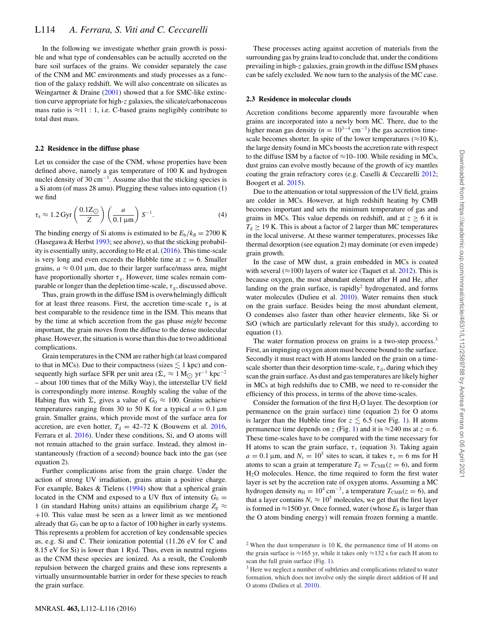In the following we investigate whether grain growth is possible and what type of condensables can be actually accreted on the bare soil surfaces of the grains. We consider separately the case of the CNM and MC environments and study processes as a function of the galaxy redshift. We will also concentrate on silicates as Weingartner & Draine [\(2001\)](#page-4-35) showed that a for SMC-like extinction curve appropriate for high-z galaxies, the silicate/carbonaceous mass ratio is  $\approx$ 11 : 1, i.e. C-based grains negligibly contribute to total dust mass.

### **2.2 Residence in the diffuse phase**

Let us consider the case of the CNM, whose properties have been defined above, namely a gas temperature of 100 K and hydrogen nuclei density of 30 cm<sup> $-3$ </sup>. Assume also that the sticking species is a Si atom (of mass 28 amu). Plugging these values into equation (1) we find

$$
\tau_{a} \approx 1.2 \,\mathrm{Gyr} \left( \frac{0.1 \,\mathrm{Z}_{\odot}}{Z} \right) \left( \frac{a}{0.1 \,\mathrm{\mu m}} \right) S^{-1}.\tag{4}
$$

The binding energy of Si atoms is estimated to be  $E_b/k_B = 2700 \text{ K}$ (Hasegawa  $&$  Herbst [1993;](#page-4-33) see above), so that the sticking probability is essentially unity, according to He et al. [\(2016\)](#page-4-22). This time-scale is very long and even exceeds the Hubble time at  $z = 6$ . Smaller grains,  $a \approx 0.01 \,\mu\text{m}$ , due to their larger surface/mass area, might have proportionally shorter  $\tau_a$ . However, time scales remain comparable or longer than the depletion time-scale,  $\tau_{\varphi}$ , discussed above.

Thus, grain growth in the diffuse ISM is overwhelmingly difficult for at least three reasons. First, the accretion time-scale  $\tau_a$  is at best comparable to the residence time in the ISM. This means that by the time at which accretion from the gas phase *might* become important, the grain moves from the diffuse to the dense molecular phase. However, the situation is worse than this due to two additional complications.

Grain temperatures in the CNM are rather high (at least compared to that in MCs). Due to their compactness (sizes  $\lesssim 1$  kpc) and consequently high surface SFR per unit area  $(\Sigma_* \approx 1 \text{ M}_{\odot} \text{ yr}^{-1} \text{ kpc}^{-2})$ – about 100 times that of the Milky Way), the interstellar UV field is correspondingly more intense. Roughly scaling the value of the Habing flux with  $\dot{\Sigma}_*$  gives a value of  $G_0 \approx 100$ . Grains achieve temperatures ranging from 30 to 50 K for a typical  $a = 0.1 \,\text{\mu m}$ grain. Smaller grains, which provide most of the surface area for accretion, are even hotter,  $T_d = 42-72$  K (Bouwens et al. [2016,](#page-4-10) Ferrara et al. [2016\)](#page-4-36). Under these conditions, Si, and O atoms will not remain attached to the grain surface. Instead, they almost instantaneously (fraction of a second) bounce back into the gas (see equation 2).

Further complications arise from the grain charge. Under the action of strong UV irradiation, grains attain a positive charge. For example, Bakes & Tielens [\(1994\)](#page-4-37) show that a spherical grain located in the CNM and exposed to a UV flux of intensity  $G_0 =$ 1 (in standard Habing units) attains an equilibrium charge  $Z_g \approx$ +10. This value must be seen as a lower limit as we mentioned already that  $G_0$  can be up to a factor of 100 higher in early systems. This represents a problem for accretion of key condensable species as, e.g. Si and C. Their ionization potential (11.26 eV for C and 8.15 eV for Si) is lower than 1 Ryd. Thus, even in neutral regions as the CNM these species are ionized. As a result, the Coulomb repulsion between the charged grains and these ions represents a virtually unsurmountable barrier in order for these species to reach the grain surface.

These processes acting against accretion of materials from the surrounding gas by grains lead to conclude that, under the conditions prevailing in high-z galaxies, grain growth in the diffuse ISM phases can be safely excluded. We now turn to the analysis of the MC case.

## **2.3 Residence in molecular clouds**

Accretion conditions become apparently more favourable when grains are incorporated into a newly born MC. There, due to the higher mean gas density ( $n = 10^{3-4}$  cm<sup>-3</sup>) the gas accretion timescale becomes shorter. In spite of the lower temperatures ( $\approx$ 10 K), the large density found in MCs boosts the accretion rate with respect to the diffuse ISM by a factor of  $\approx$ 10–100. While residing in MCs, dust grains can evolve mostly because of the growth of icy mantles coating the grain refractory cores (e.g. Caselli & Ceccarelli [2012;](#page-4-38) Boogert et al. [2015\)](#page-4-14).

Due to the attenuation or total suppression of the UV field, grains are colder in MCs. However, at high redshift heating by CMB becomes important and sets the minimum temperature of gas and grains in MCs. This value depends on redshift, and at  $z \geq 6$  it is  $T_d \geq 19$  K. This is about a factor of 2 larger than MC temperatures in the local universe. At these warmer temperatures, processes like thermal desorption (see equation 2) may dominate (or even impede) grain growth.

In the case of MW dust, a grain embedded in MCs is coated with several ( $\approx$ 100) layers of water ice (Taquet et al. [2012\)](#page-4-29). This is because oxygen, the most abundant element after H and He, after landing on the grain surface, is rapidly<sup>2</sup> hydrogenated, and forms water molecules (Dulieu et al. [2010\)](#page-4-39). Water remains then stuck on the grain surface. Besides being the most abundant element, O condenses also faster than other heavier elements, like Si or SiO (which are particularly relevant for this study), according to equation (1).

The water formation process on grains is a two-step process.<sup>3</sup> First, an impinging oxygen atom must become bound to the surface. Secondly it must react with H atoms landed on the grain on a timescale shorter than their desorption time-scale,  $\tau_d$ , during which they scan the grain surface. As dust and gas temperatures are likely higher in MCs at high redshifts due to CMB, we need to re-consider the efficiency of this process, in terms of the above time-scales.

Consider the formation of the first  $H_2O$  layer. The desorption (or permanence on the grain surface) time (equation 2) for O atoms is larger than the Hubble time for  $z \lesssim 6.5$  (see Fig. [1\)](#page-3-0). H atoms permanence time depends on z (Fig. [1\)](#page-3-0) and it is  $\approx$  240 ms at z = 6. These time-scales have to be compared with the time necessary for H atoms to scan the grain surface,  $\tau_s$  (equation 3). Taking again  $a = 0.1 \,\text{\mu m}$ , and  $N_s = 10^5$  sites to scan, it takes  $\tau_s = 6 \text{ ms}$  for H atoms to scan a grain at temperature  $T_d = T_{CMB}(z = 6)$ , and form H2O molecules. Hence, the time required to form the first water layer is set by the accretion rate of oxygen atoms. Assuming a MC hydrogen density  $n_{\rm H} = 10^4 \text{ cm}^{-3}$ , a temperature  $T_{\rm CMB}(z = 6)$ , and that a layer contains  $N_s \approx 10^5$  molecules, we get that the first layer is formed in  $\approx$ 1500 yr. Once formed, water (whose  $E<sub>b</sub>$  is larger than the O atom binding energy) will remain frozen forming a mantle.

 $2$  When the dust temperature is 10 K, the permanence time of H atoms on the grain surface is  $\approx$ 165 yr, while it takes only  $\approx$ 132 s for each H atom to scan the full grain surface (Fig. [1\)](#page-3-0).

<sup>&</sup>lt;sup>3</sup> Here we neglect a number of subtleties and complications related to water formation, which does not involve only the simple direct addition of H and O atoms (Dulieu et al. [2010\)](#page-4-39).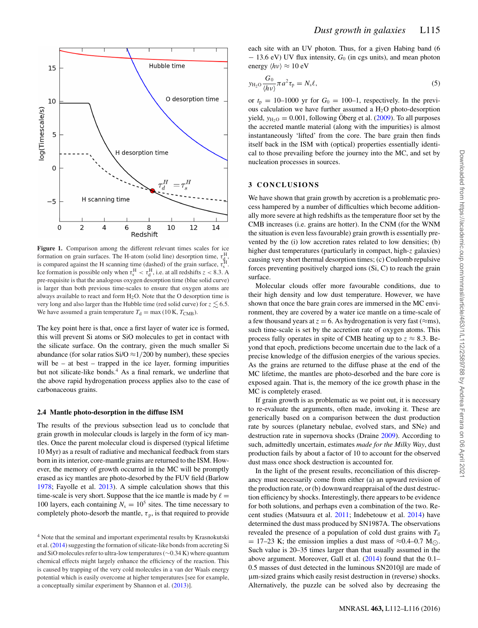<span id="page-3-0"></span>

**Figure 1.** Comparison among the different relevant times scales for ice formation on grain surfaces. The H-atom (solid line) desorption time,  $\tau_{\text{d}}^{\text{H}}$ , is compared against the H scanning time (dashed) of the grain surface,  $\tau_s^H$ . Ice formation is possible only when  $\tau_s^H < \tau_d^H$ , i.e. at all redshifts  $z < 8.3$ . A pre-requisite is that the analogous oxygen desorption time (blue solid curve) is larger than both previous time-scales to ensure that oxygen atoms are always available to react and form  $H_2O$ . Note that the O desorption time is very long and also larger than the Hubble time (red solid curve) for  $z \lesssim 6.5$ . We have assumed a grain temperature  $T_d = \max(10 \text{ K}, T_{\text{CMB}})$ .

The key point here is that, once a first layer of water ice is formed, this will prevent Si atoms or SiO molecules to get in contact with the silicate surface. On the contrary, given the much smaller Si abundance (for solar ratios Si/O  $\approx$  1/200 by number), these species will be – at best – trapped in the ice layer, forming impurities but not silicate-like bonds.<sup>4</sup> As a final remark, we underline that the above rapid hydrogenation process applies also to the case of carbonaceous grains.

#### **2.4 Mantle photo-desorption in the diffuse ISM**

The results of the previous subsection lead us to conclude that grain growth in molecular clouds is largely in the form of icy mantles. Once the parent molecular cloud is dispersed (typical lifetime 10 Myr) as a result of radiative and mechanical feedback from stars born in its interior, core-mantle grains are returned to the ISM. However, the memory of growth occurred in the MC will be promptly erased as icy mantles are photo-desorbed by the FUV field (Barlow [1978;](#page-4-40) Fayolle et al. [2013\)](#page-4-41). A simple calculation shows that this time-scale is very short. Suppose that the ice mantle is made by  $\ell =$ 100 layers, each containing  $N_s = 10^5$  sites. The time necessary to completely photo-desorb the mantle,  $\tau_p$ , is that required to provide each site with an UV photon. Thus, for a given Habing band (6 − 13.6 eV) UV flux intensity, *G*<sup>0</sup> (in cgs units), and mean photon energy  $\langle h\nu \rangle \approx 10 \text{ eV}$ 

$$
y_{\mathrm{H}_2\mathrm{O}} \frac{G_0}{\langle h\nu\rangle} \pi a^2 \tau_{\mathrm{p}} = N_{\mathrm{s}} \ell,\tag{5}
$$

or  $t_p = 10-1000$  yr for  $G_0 = 100-1$ , respectively. In the previous calculation we have further assumed a  $H<sub>2</sub>O$  photo-desorption yield,  $y_{H<sub>2</sub>O} = 0.001$ , following Oberg et al. ([2009\)](#page-4-44). To all purposes the accreted mantle material (along with the impurities) is almost instantaneously 'lifted' from the core. The bare grain then finds itself back in the ISM with (optical) properties essentially identical to those prevailing before the journey into the MC, and set by nucleation processes in sources.

### **3 CONCLUSIONS**

We have shown that grain growth by accretion is a problematic process hampered by a number of difficulties which become additionally more severe at high redshifts as the temperature floor set by the CMB increases (i.e. grains are hotter). In the CNM (for the WNM the situation is even less favourable) grain growth is essentially prevented by the (i) low accretion rates related to low densities; (b) higher dust temperatures (particularly in compact, high-z galaxies) causing very short thermal desorption times; (c) Coulomb repulsive forces preventing positively charged ions (Si, C) to reach the grain surface.

Molecular clouds offer more favourable conditions, due to their high density and low dust temperature. However, we have shown that once the bare grain cores are immersed in the MC environment, they are covered by a water ice mantle on a time-scale of a few thousand years at  $z = 6$ . As hydrogenation is very fast ( $\approx$ ms), such time-scale is set by the accretion rate of oxygen atoms. This process fully operates in spite of CMB heating up to  $z \approx 8.3$ . Beyond that epoch, predictions become uncertain due to the lack of a precise knowledge of the diffusion energies of the various species. As the grains are returned to the diffuse phase at the end of the MC lifetime, the mantles are photo-desorbed and the bare core is exposed again. That is, the memory of the ice growth phase in the MC is completely erased.

If grain growth is as problematic as we point out, it is necessary to re-evaluate the arguments, often made, invoking it. These are generically based on a comparison between the dust production rate by sources (planetary nebulae, evolved stars, and SNe) and destruction rate in supernova shocks (Draine [2009\)](#page-4-45). According to such, admittedly uncertain, estimates *made for the Milky Way*, dust production fails by about a factor of 10 to account for the observed dust mass once shock destruction is accounted for.

In the light of the present results, reconciliation of this discrepancy must necessarily come from either (a) an upward revision of the production rate, or (b) downward reappraisal of the dust destruction efficiency by shocks. Interestingly, there appears to be evidence for both solutions, and perhaps even a combination of the two. Recent studies (Matsuura et al. [2011;](#page-4-46) Indebetouw et al. [2014\)](#page-4-47) have determined the dust mass produced by SN1987A. The observations revealed the presence of a population of cold dust grains with  $T<sub>d</sub>$  $= 17-23$  K; the emission implies a dust mass of  $\approx 0.4-0.7$  M... Such value is 20–35 times larger than that usually assumed in the above argument. Moreover, Gall et al. [\(2014\)](#page-4-48) found that the 0.1– 0.5 masses of dust detected in the luminous SN2010jl are made of µm-sized grains which easily resist destruction in (reverse) shocks. Alternatively, the puzzle can be solved also by decreasing the

<sup>4</sup> Note that the seminal and important experimental results by Krasnokutski et al. [\(2014\)](#page-4-42) suggesting the formation of silicate-like bonds from accreting Si and SiO molecules refer to ultra-low temperatures (∼0.34 K) where quantum chemical effects might largely enhance the efficiency of the reaction. This is caused by trapping of the very cold molecules in a van der Waals energy potential which is easily overcome at higher temperatures [see for example, a conceptually similar experiment by Shannon et al. [\(2013\)](#page-4-43)].